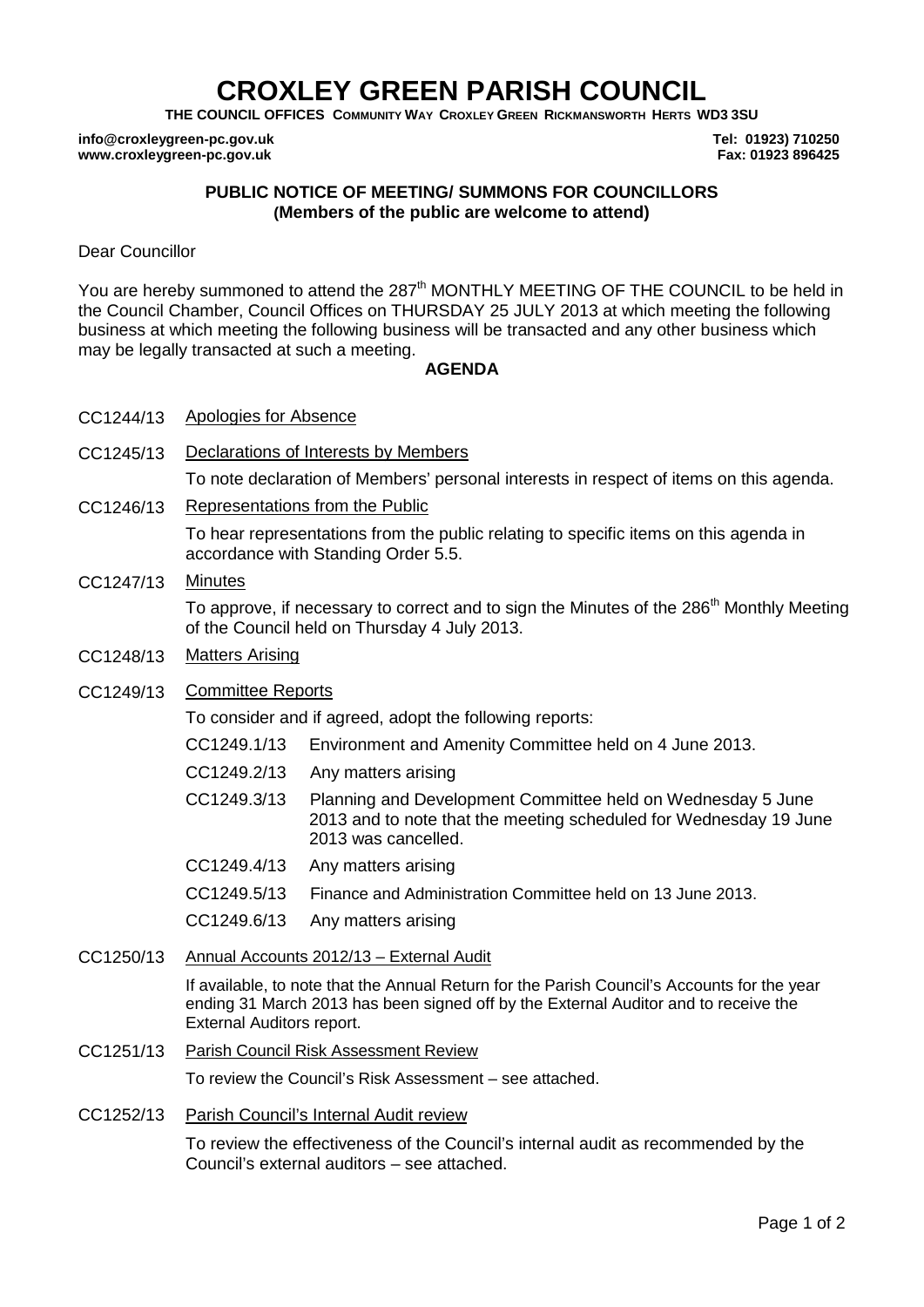## **CROXLEY GREEN PARISH COUNCIL**

**THE COUNCIL OFFICES COMMUNITY WAY CROXLEY GREEN RICKMANSWORTH HERTS WD3 3SU**

**info@croxleygreen-pc.gov.uk www.croxleygreen-pc.gov.uk**

**Tel: 01923) 710250 Fax: 01923 896425**

## **PUBLIC NOTICE OF MEETING/ SUMMONS FOR COUNCILLORS (Members of the public are welcome to attend)**

Dear Councillor

You are hereby summoned to attend the 287<sup>th</sup> MONTHLY MEETING OF THE COUNCIL to be held in the Council Chamber, Council Offices on THURSDAY 25 JULY 2013 at which meeting the following business at which meeting the following business will be transacted and any other business which may be legally transacted at such a meeting.

## **AGENDA**

- CC1244/13 Apologies for Absence
- CC1245/13 Declarations of Interests by Members

To note declaration of Members' personal interests in respect of items on this agenda.

CC1246/13 Representations from the Public

To hear representations from the public relating to specific items on this agenda in accordance with Standing Order 5.5.

CC1247/13 Minutes

To approve, if necessary to correct and to sign the Minutes of the 286<sup>th</sup> Monthly Meeting of the Council held on Thursday 4 July 2013.

- CC1248/13 Matters Arising
- CC1249/13 Committee Reports

To consider and if agreed, adopt the following reports:

- CC1249.1/13 Environment and Amenity Committee held on 4 June 2013.
- CC1249.2/13 Any matters arising
- C CC1249.3/13 Planning and Development Committee held on Wednesday 5 June 2013 and to note that the meeting scheduled for Wednesday 19 June 2013 was cancelled.
- CC1249.4/13 Any matters arising
- CC1249.5/13 Finance and Administration Committee held on 13 June 2013.
- CC1249.6/13 Any matters arising
- CC1250/13 Annual Accounts 2012/13 External Audit

If available, to note that the Annual Return for the Parish Council's Accounts for the year ending 31 March 2013 has been signed off by the External Auditor and to receive the External Auditors report.

CC1251/13 Parish Council Risk Assessment Review

To review the Council's Risk Assessment – see attached.

CC1252/13 Parish Council's Internal Audit review

To review the effectiveness of the Council's internal audit as recommended by the Council's external auditors – see attached.